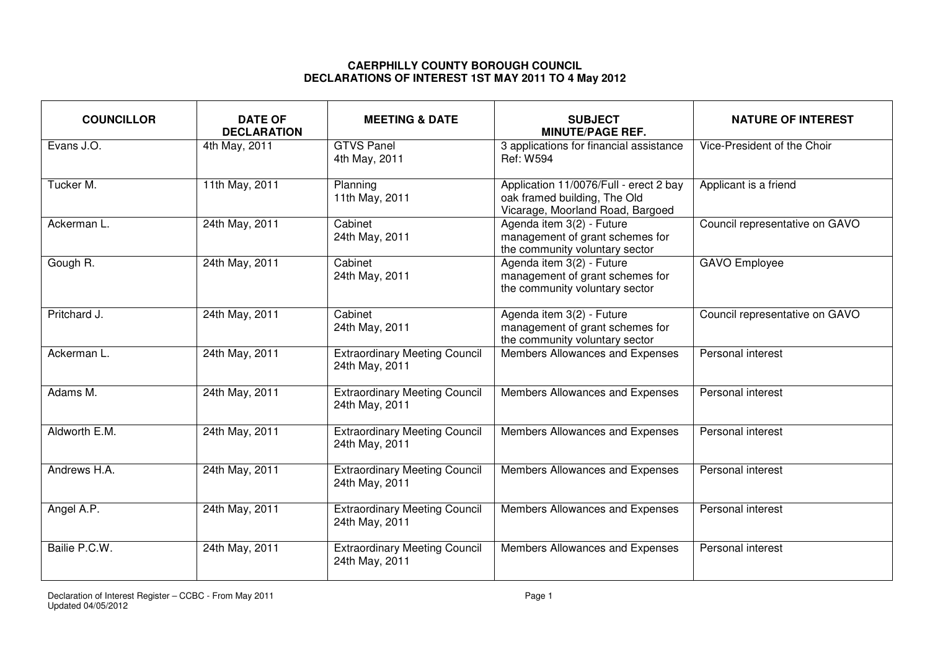## **CAERPHILLY COUNTY BOROUGH COUNCIL DECLARATIONS OF INTEREST 1ST MAY 2011 TO 4 May 2012**

| <b>COUNCILLOR</b> | <b>DATE OF</b><br><b>DECLARATION</b> | <b>MEETING &amp; DATE</b>                              | <b>SUBJECT</b><br><b>MINUTE/PAGE REF.</b>                                                                  | <b>NATURE OF INTEREST</b>      |
|-------------------|--------------------------------------|--------------------------------------------------------|------------------------------------------------------------------------------------------------------------|--------------------------------|
| Evans J.O.        | 4th May, 2011                        | <b>GTVS Panel</b><br>4th May, 2011                     | 3 applications for financial assistance<br><b>Ref: W594</b>                                                | Vice-President of the Choir    |
| Tucker M.         | 11th May, 2011                       | Planning<br>11th May, 2011                             | Application 11/0076/Full - erect 2 bay<br>oak framed building, The Old<br>Vicarage, Moorland Road, Bargoed | Applicant is a friend          |
| Ackerman L.       | 24th May, 2011                       | Cabinet<br>24th May, 2011                              | Agenda item 3(2) - Future<br>management of grant schemes for<br>the community voluntary sector             | Council representative on GAVO |
| Gough R.          | 24th May, 2011                       | Cabinet<br>24th May, 2011                              | Agenda item 3(2) - Future<br>management of grant schemes for<br>the community voluntary sector             | <b>GAVO Employee</b>           |
| Pritchard J.      | 24th May, 2011                       | Cabinet<br>24th May, 2011                              | Agenda item 3(2) - Future<br>management of grant schemes for<br>the community voluntary sector             | Council representative on GAVO |
| Ackerman L.       | 24th May, 2011                       | <b>Extraordinary Meeting Council</b><br>24th May, 2011 | Members Allowances and Expenses                                                                            | Personal interest              |
| Adams M.          | 24th May, 2011                       | <b>Extraordinary Meeting Council</b><br>24th May, 2011 | Members Allowances and Expenses                                                                            | Personal interest              |
| Aldworth E.M.     | 24th May, 2011                       | <b>Extraordinary Meeting Council</b><br>24th May, 2011 | Members Allowances and Expenses                                                                            | Personal interest              |
| Andrews H.A.      | 24th May, 2011                       | <b>Extraordinary Meeting Council</b><br>24th May, 2011 | Members Allowances and Expenses                                                                            | Personal interest              |
| Angel A.P.        | 24th May, 2011                       | <b>Extraordinary Meeting Council</b><br>24th May, 2011 | Members Allowances and Expenses                                                                            | Personal interest              |
| Bailie P.C.W.     | 24th May, 2011                       | <b>Extraordinary Meeting Council</b><br>24th May, 2011 | Members Allowances and Expenses                                                                            | Personal interest              |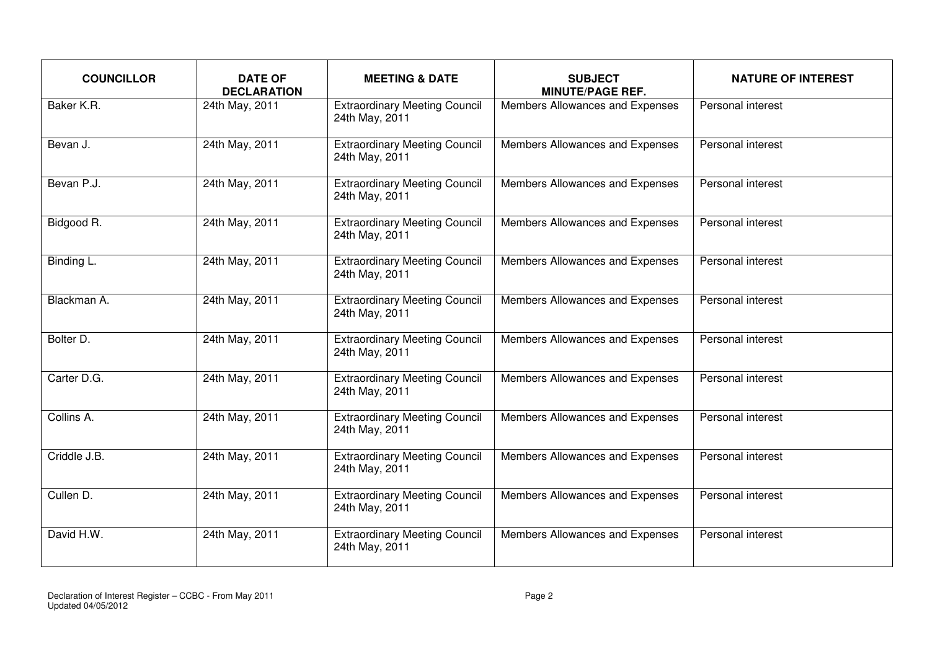| <b>COUNCILLOR</b> | <b>DATE OF</b><br><b>DECLARATION</b> | <b>MEETING &amp; DATE</b>                              | <b>SUBJECT</b><br><b>MINUTE/PAGE REF.</b> | <b>NATURE OF INTEREST</b> |
|-------------------|--------------------------------------|--------------------------------------------------------|-------------------------------------------|---------------------------|
| Baker K.R.        | 24th May, 2011                       | <b>Extraordinary Meeting Council</b><br>24th May, 2011 | Members Allowances and Expenses           | Personal interest         |
| Bevan J.          | 24th May, 2011                       | <b>Extraordinary Meeting Council</b><br>24th May, 2011 | Members Allowances and Expenses           | Personal interest         |
| Bevan P.J.        | 24th May, 2011                       | <b>Extraordinary Meeting Council</b><br>24th May, 2011 | Members Allowances and Expenses           | Personal interest         |
| Bidgood R.        | 24th May, 2011                       | <b>Extraordinary Meeting Council</b><br>24th May, 2011 | Members Allowances and Expenses           | Personal interest         |
| Binding L.        | 24th May, 2011                       | <b>Extraordinary Meeting Council</b><br>24th May, 2011 | Members Allowances and Expenses           | Personal interest         |
| Blackman A.       | 24th May, 2011                       | <b>Extraordinary Meeting Council</b><br>24th May, 2011 | Members Allowances and Expenses           | Personal interest         |
| Bolter D.         | 24th May, 2011                       | <b>Extraordinary Meeting Council</b><br>24th May, 2011 | Members Allowances and Expenses           | Personal interest         |
| Carter D.G.       | 24th May, 2011                       | <b>Extraordinary Meeting Council</b><br>24th May, 2011 | Members Allowances and Expenses           | Personal interest         |
| Collins A.        | 24th May, 2011                       | <b>Extraordinary Meeting Council</b><br>24th May, 2011 | Members Allowances and Expenses           | Personal interest         |
| Criddle J.B.      | 24th May, 2011                       | <b>Extraordinary Meeting Council</b><br>24th May, 2011 | Members Allowances and Expenses           | Personal interest         |
| Cullen D.         | 24th May, 2011                       | <b>Extraordinary Meeting Council</b><br>24th May, 2011 | Members Allowances and Expenses           | Personal interest         |
| David H.W.        | 24th May, 2011                       | <b>Extraordinary Meeting Council</b><br>24th May, 2011 | Members Allowances and Expenses           | Personal interest         |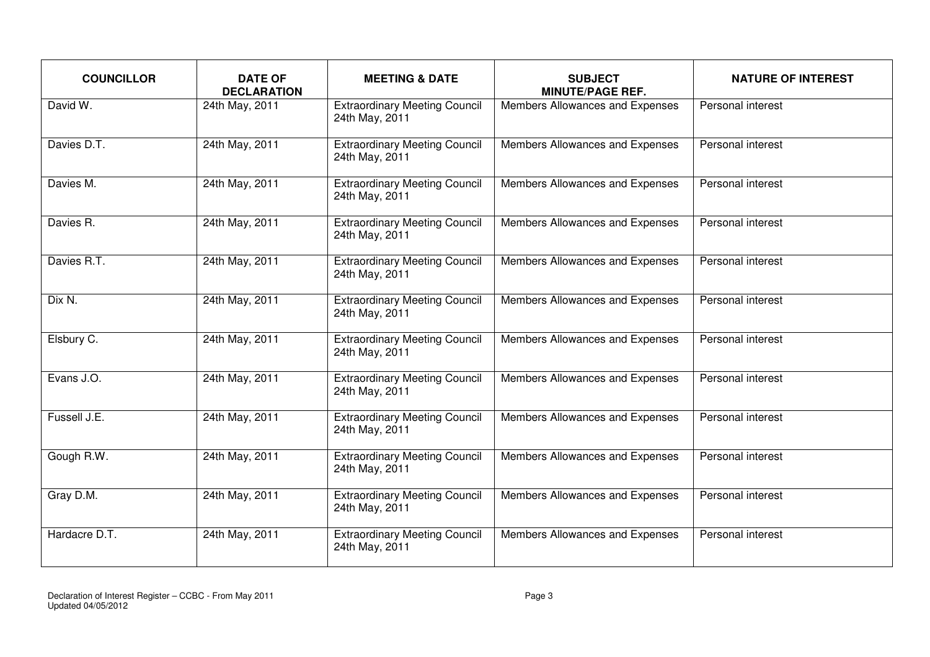| <b>COUNCILLOR</b> | <b>DATE OF</b><br><b>DECLARATION</b> | <b>MEETING &amp; DATE</b>                              | <b>SUBJECT</b><br><b>MINUTE/PAGE REF.</b> | <b>NATURE OF INTEREST</b> |
|-------------------|--------------------------------------|--------------------------------------------------------|-------------------------------------------|---------------------------|
| David W.          | 24th May, 2011                       | <b>Extraordinary Meeting Council</b><br>24th May, 2011 | Members Allowances and Expenses           | Personal interest         |
| Davies D.T.       | 24th May, 2011                       | <b>Extraordinary Meeting Council</b><br>24th May, 2011 | Members Allowances and Expenses           | Personal interest         |
| Davies M.         | 24th May, 2011                       | <b>Extraordinary Meeting Council</b><br>24th May, 2011 | Members Allowances and Expenses           | Personal interest         |
| Davies R.         | 24th May, 2011                       | <b>Extraordinary Meeting Council</b><br>24th May, 2011 | Members Allowances and Expenses           | Personal interest         |
| Davies R.T.       | 24th May, 2011                       | <b>Extraordinary Meeting Council</b><br>24th May, 2011 | Members Allowances and Expenses           | Personal interest         |
| Dix N.            | 24th May, 2011                       | <b>Extraordinary Meeting Council</b><br>24th May, 2011 | Members Allowances and Expenses           | Personal interest         |
| Elsbury C.        | 24th May, 2011                       | <b>Extraordinary Meeting Council</b><br>24th May, 2011 | Members Allowances and Expenses           | Personal interest         |
| Evans J.O.        | 24th May, 2011                       | <b>Extraordinary Meeting Council</b><br>24th May, 2011 | Members Allowances and Expenses           | Personal interest         |
| Fussell J.E.      | 24th May, 2011                       | <b>Extraordinary Meeting Council</b><br>24th May, 2011 | Members Allowances and Expenses           | Personal interest         |
| Gough R.W.        | 24th May, 2011                       | <b>Extraordinary Meeting Council</b><br>24th May, 2011 | Members Allowances and Expenses           | Personal interest         |
| Gray D.M.         | 24th May, 2011                       | <b>Extraordinary Meeting Council</b><br>24th May, 2011 | Members Allowances and Expenses           | Personal interest         |
| Hardacre D.T.     | 24th May, 2011                       | <b>Extraordinary Meeting Council</b><br>24th May, 2011 | Members Allowances and Expenses           | Personal interest         |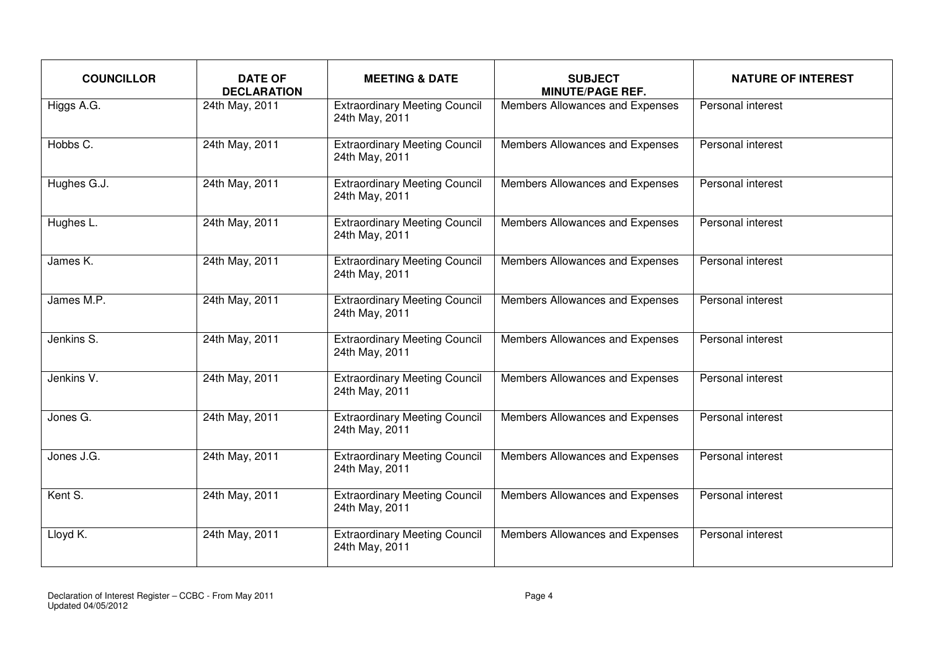| <b>COUNCILLOR</b> | <b>DATE OF</b><br><b>DECLARATION</b> | <b>MEETING &amp; DATE</b>                              | <b>SUBJECT</b><br><b>MINUTE/PAGE REF.</b> | <b>NATURE OF INTEREST</b> |
|-------------------|--------------------------------------|--------------------------------------------------------|-------------------------------------------|---------------------------|
| Higgs A.G.        | 24th May, 2011                       | <b>Extraordinary Meeting Council</b><br>24th May, 2011 | Members Allowances and Expenses           | Personal interest         |
| Hobbs C.          | 24th May, 2011                       | <b>Extraordinary Meeting Council</b><br>24th May, 2011 | Members Allowances and Expenses           | Personal interest         |
| Hughes G.J.       | 24th May, 2011                       | <b>Extraordinary Meeting Council</b><br>24th May, 2011 | Members Allowances and Expenses           | Personal interest         |
| Hughes L.         | 24th May, 2011                       | <b>Extraordinary Meeting Council</b><br>24th May, 2011 | Members Allowances and Expenses           | Personal interest         |
| James K.          | 24th May, 2011                       | <b>Extraordinary Meeting Council</b><br>24th May, 2011 | Members Allowances and Expenses           | Personal interest         |
| James M.P.        | 24th May, 2011                       | <b>Extraordinary Meeting Council</b><br>24th May, 2011 | Members Allowances and Expenses           | Personal interest         |
| Jenkins S.        | 24th May, 2011                       | <b>Extraordinary Meeting Council</b><br>24th May, 2011 | Members Allowances and Expenses           | Personal interest         |
| Jenkins V.        | 24th May, 2011                       | <b>Extraordinary Meeting Council</b><br>24th May, 2011 | Members Allowances and Expenses           | Personal interest         |
| Jones G.          | 24th May, 2011                       | <b>Extraordinary Meeting Council</b><br>24th May, 2011 | Members Allowances and Expenses           | Personal interest         |
| Jones J.G.        | 24th May, 2011                       | <b>Extraordinary Meeting Council</b><br>24th May, 2011 | Members Allowances and Expenses           | Personal interest         |
| Kent S.           | 24th May, 2011                       | <b>Extraordinary Meeting Council</b><br>24th May, 2011 | Members Allowances and Expenses           | Personal interest         |
| Lloyd K.          | 24th May, 2011                       | <b>Extraordinary Meeting Council</b><br>24th May, 2011 | Members Allowances and Expenses           | Personal interest         |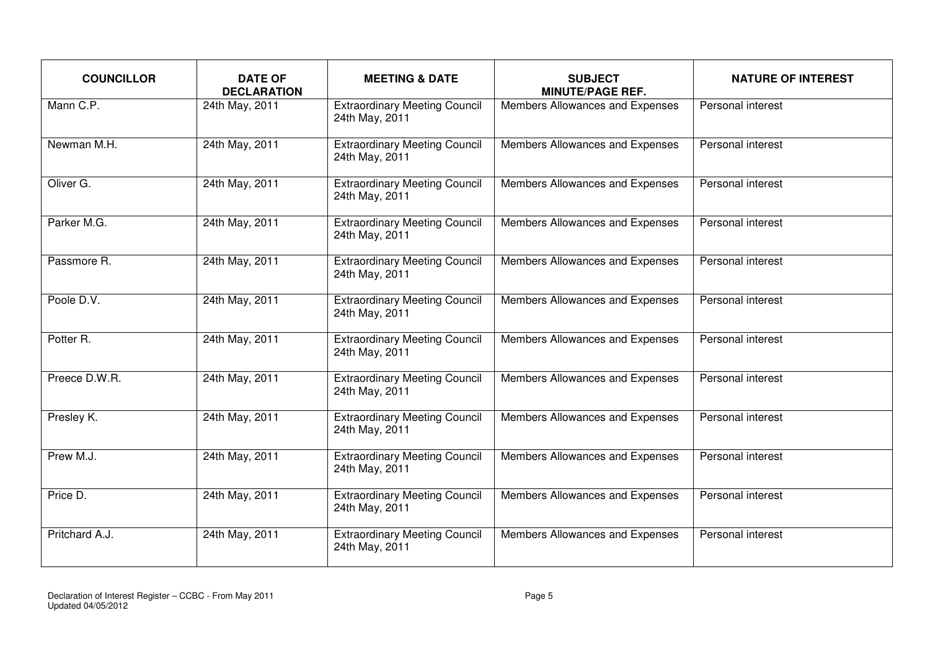| <b>COUNCILLOR</b> | <b>DATE OF</b><br><b>DECLARATION</b> | <b>MEETING &amp; DATE</b>                              | <b>SUBJECT</b><br><b>MINUTE/PAGE REF.</b> | <b>NATURE OF INTEREST</b> |
|-------------------|--------------------------------------|--------------------------------------------------------|-------------------------------------------|---------------------------|
| Mann C.P.         | 24th May, 2011                       | <b>Extraordinary Meeting Council</b><br>24th May, 2011 | Members Allowances and Expenses           | Personal interest         |
| Newman M.H.       | 24th May, 2011                       | <b>Extraordinary Meeting Council</b><br>24th May, 2011 | Members Allowances and Expenses           | Personal interest         |
| Oliver G.         | 24th May, 2011                       | <b>Extraordinary Meeting Council</b><br>24th May, 2011 | Members Allowances and Expenses           | Personal interest         |
| Parker M.G.       | 24th May, 2011                       | <b>Extraordinary Meeting Council</b><br>24th May, 2011 | Members Allowances and Expenses           | Personal interest         |
| Passmore R.       | 24th May, 2011                       | <b>Extraordinary Meeting Council</b><br>24th May, 2011 | Members Allowances and Expenses           | Personal interest         |
| Poole D.V.        | 24th May, 2011                       | <b>Extraordinary Meeting Council</b><br>24th May, 2011 | Members Allowances and Expenses           | Personal interest         |
| Potter R.         | 24th May, 2011                       | <b>Extraordinary Meeting Council</b><br>24th May, 2011 | Members Allowances and Expenses           | Personal interest         |
| Preece D.W.R.     | 24th May, 2011                       | <b>Extraordinary Meeting Council</b><br>24th May, 2011 | Members Allowances and Expenses           | Personal interest         |
| Presley K.        | 24th May, 2011                       | <b>Extraordinary Meeting Council</b><br>24th May, 2011 | Members Allowances and Expenses           | Personal interest         |
| Prew M.J.         | 24th May, 2011                       | <b>Extraordinary Meeting Council</b><br>24th May, 2011 | Members Allowances and Expenses           | Personal interest         |
| Price D.          | 24th May, 2011                       | <b>Extraordinary Meeting Council</b><br>24th May, 2011 | Members Allowances and Expenses           | Personal interest         |
| Pritchard A.J.    | 24th May, 2011                       | <b>Extraordinary Meeting Council</b><br>24th May, 2011 | Members Allowances and Expenses           | Personal interest         |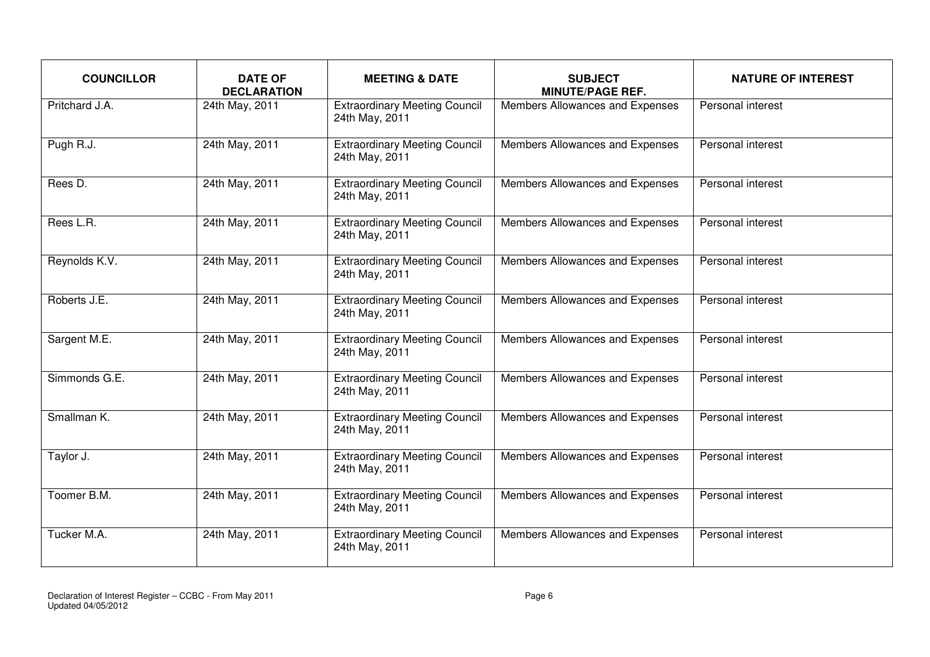| <b>COUNCILLOR</b> | <b>DATE OF</b><br><b>DECLARATION</b> | <b>MEETING &amp; DATE</b>                              | <b>SUBJECT</b><br><b>MINUTE/PAGE REF.</b> | <b>NATURE OF INTEREST</b> |
|-------------------|--------------------------------------|--------------------------------------------------------|-------------------------------------------|---------------------------|
| Pritchard J.A.    | 24th May, 2011                       | <b>Extraordinary Meeting Council</b><br>24th May, 2011 | Members Allowances and Expenses           | Personal interest         |
| Pugh R.J.         | 24th May, 2011                       | <b>Extraordinary Meeting Council</b><br>24th May, 2011 | Members Allowances and Expenses           | Personal interest         |
| Rees D.           | 24th May, 2011                       | <b>Extraordinary Meeting Council</b><br>24th May, 2011 | Members Allowances and Expenses           | Personal interest         |
| Rees L.R.         | 24th May, 2011                       | <b>Extraordinary Meeting Council</b><br>24th May, 2011 | Members Allowances and Expenses           | Personal interest         |
| Reynolds K.V.     | 24th May, 2011                       | <b>Extraordinary Meeting Council</b><br>24th May, 2011 | Members Allowances and Expenses           | Personal interest         |
| Roberts J.E.      | 24th May, 2011                       | <b>Extraordinary Meeting Council</b><br>24th May, 2011 | Members Allowances and Expenses           | Personal interest         |
| Sargent M.E.      | 24th May, 2011                       | <b>Extraordinary Meeting Council</b><br>24th May, 2011 | Members Allowances and Expenses           | Personal interest         |
| Simmonds G.E.     | 24th May, 2011                       | <b>Extraordinary Meeting Council</b><br>24th May, 2011 | Members Allowances and Expenses           | Personal interest         |
| Smallman K.       | 24th May, 2011                       | <b>Extraordinary Meeting Council</b><br>24th May, 2011 | Members Allowances and Expenses           | Personal interest         |
| Taylor J.         | 24th May, 2011                       | <b>Extraordinary Meeting Council</b><br>24th May, 2011 | Members Allowances and Expenses           | Personal interest         |
| Toomer B.M.       | 24th May, 2011                       | <b>Extraordinary Meeting Council</b><br>24th May, 2011 | Members Allowances and Expenses           | Personal interest         |
| Tucker M.A.       | 24th May, 2011                       | <b>Extraordinary Meeting Council</b><br>24th May, 2011 | Members Allowances and Expenses           | Personal interest         |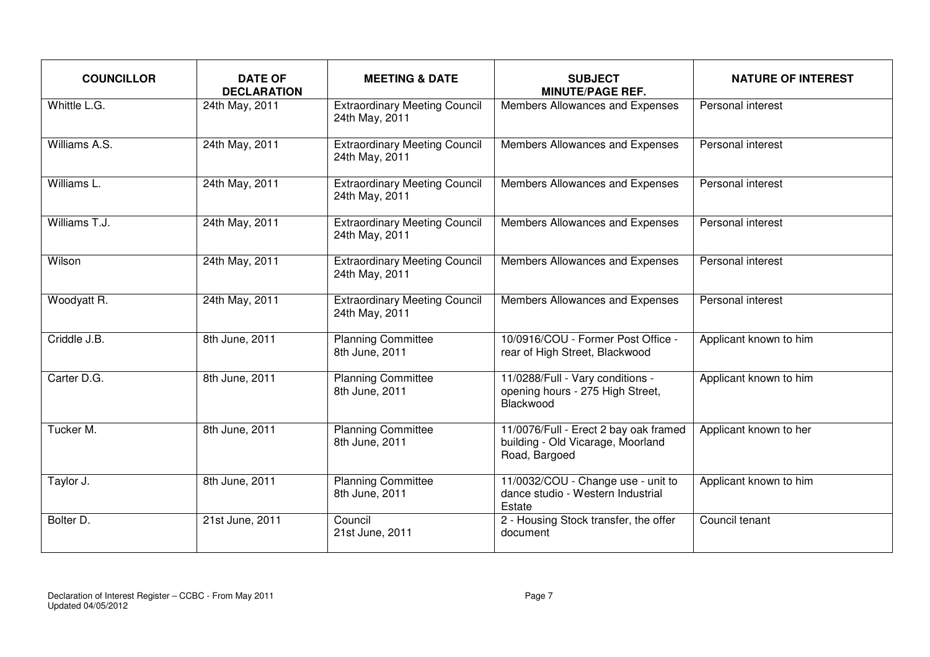| <b>COUNCILLOR</b> | <b>DATE OF</b><br><b>DECLARATION</b> | <b>MEETING &amp; DATE</b>                              | <b>SUBJECT</b><br><b>MINUTE/PAGE REF.</b>                                                   | <b>NATURE OF INTEREST</b> |
|-------------------|--------------------------------------|--------------------------------------------------------|---------------------------------------------------------------------------------------------|---------------------------|
| Whittle L.G.      | 24th May, 2011                       | <b>Extraordinary Meeting Council</b><br>24th May, 2011 | Members Allowances and Expenses                                                             | Personal interest         |
| Williams A.S.     | 24th May, 2011                       | <b>Extraordinary Meeting Council</b><br>24th May, 2011 | Members Allowances and Expenses                                                             | Personal interest         |
| Williams L.       | 24th May, 2011                       | <b>Extraordinary Meeting Council</b><br>24th May, 2011 | Members Allowances and Expenses                                                             | Personal interest         |
| Williams T.J.     | 24th May, 2011                       | <b>Extraordinary Meeting Council</b><br>24th May, 2011 | Members Allowances and Expenses                                                             | Personal interest         |
| Wilson            | 24th May, 2011                       | <b>Extraordinary Meeting Council</b><br>24th May, 2011 | Members Allowances and Expenses                                                             | Personal interest         |
| Woodyatt R.       | 24th May, 2011                       | <b>Extraordinary Meeting Council</b><br>24th May, 2011 | Members Allowances and Expenses                                                             | Personal interest         |
| Criddle J.B.      | 8th June, 2011                       | <b>Planning Committee</b><br>8th June, 2011            | 10/0916/COU - Former Post Office -<br>rear of High Street, Blackwood                        | Applicant known to him    |
| Carter D.G.       | 8th June, 2011                       | <b>Planning Committee</b><br>8th June, 2011            | 11/0288/Full - Vary conditions -<br>opening hours - 275 High Street,<br>Blackwood           | Applicant known to him    |
| Tucker M.         | 8th June, 2011                       | <b>Planning Committee</b><br>8th June, 2011            | 11/0076/Full - Erect 2 bay oak framed<br>building - Old Vicarage, Moorland<br>Road, Bargoed | Applicant known to her    |
| Taylor J.         | 8th June, 2011                       | <b>Planning Committee</b><br>8th June, 2011            | 11/0032/COU - Change use - unit to<br>dance studio - Western Industrial<br>Estate           | Applicant known to him    |
| Bolter D.         | 21st June, 2011                      | Council<br>21st June, 2011                             | 2 - Housing Stock transfer, the offer<br>document                                           | Council tenant            |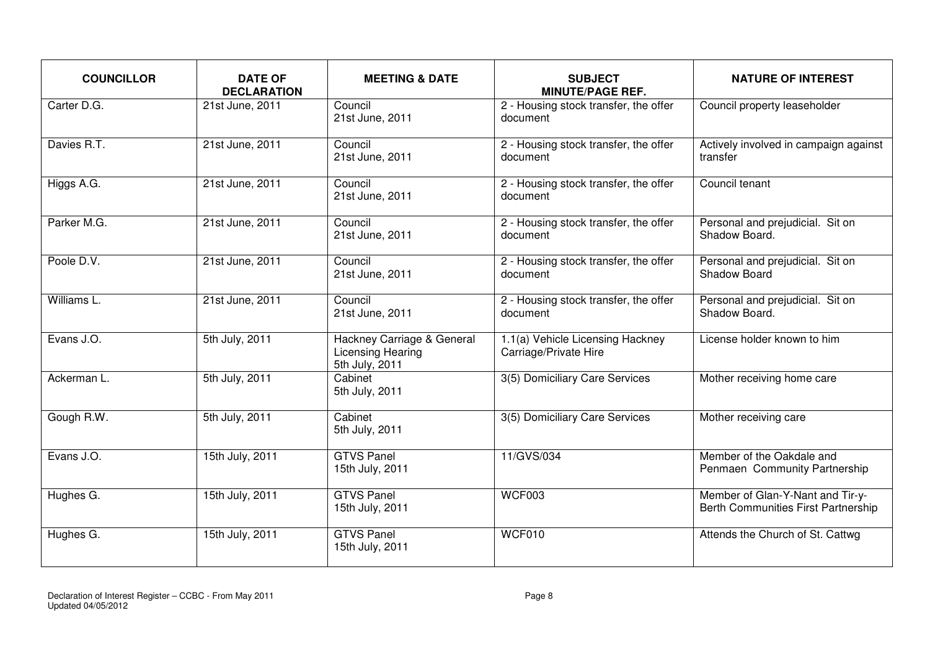| <b>COUNCILLOR</b> | <b>DATE OF</b><br><b>DECLARATION</b> | <b>MEETING &amp; DATE</b>                                                | <b>SUBJECT</b><br><b>MINUTE/PAGE REF.</b>                 | <b>NATURE OF INTEREST</b>                                                      |
|-------------------|--------------------------------------|--------------------------------------------------------------------------|-----------------------------------------------------------|--------------------------------------------------------------------------------|
| Carter D.G.       | 21st June, 2011                      | Council<br>21st June, 2011                                               | 2 - Housing stock transfer, the offer<br>document         | Council property leaseholder                                                   |
| Davies R.T.       | 21st June, 2011                      | Council<br>21st June, 2011                                               | 2 - Housing stock transfer, the offer<br>document         | Actively involved in campaign against<br>transfer                              |
| Higgs A.G.        | 21st June, 2011                      | Council<br>21st June, 2011                                               | 2 - Housing stock transfer, the offer<br>document         | Council tenant                                                                 |
| Parker M.G.       | 21st June, 2011                      | Council<br>21st June, 2011                                               | 2 - Housing stock transfer, the offer<br>document         | Personal and prejudicial. Sit on<br>Shadow Board.                              |
| Poole D.V.        | 21st June, 2011                      | Council<br>21st June, 2011                                               | 2 - Housing stock transfer, the offer<br>document         | Personal and prejudicial. Sit on<br>Shadow Board                               |
| Williams L.       | 21st June, 2011                      | Council<br>21st June, 2011                                               | 2 - Housing stock transfer, the offer<br>document         | Personal and prejudicial. Sit on<br>Shadow Board.                              |
| Evans J.O.        | 5th July, 2011                       | Hackney Carriage & General<br><b>Licensing Hearing</b><br>5th July, 2011 | 1.1(a) Vehicle Licensing Hackney<br>Carriage/Private Hire | License holder known to him                                                    |
| Ackerman L.       | 5th July, 2011                       | Cabinet<br>5th July, 2011                                                | 3(5) Domiciliary Care Services                            | Mother receiving home care                                                     |
| Gough R.W.        | 5th July, 2011                       | Cabinet<br>5th July, 2011                                                | 3(5) Domiciliary Care Services                            | Mother receiving care                                                          |
| Evans J.O.        | 15th July, 2011                      | <b>GTVS Panel</b><br>15th July, 2011                                     | 11/GVS/034                                                | Member of the Oakdale and<br>Penmaen Community Partnership                     |
| Hughes G.         | 15th July, 2011                      | <b>GTVS Panel</b><br>15th July, 2011                                     | <b>WCF003</b>                                             | Member of Glan-Y-Nant and Tir-y-<br><b>Berth Communities First Partnership</b> |
| Hughes G.         | 15th July, 2011                      | <b>GTVS Panel</b><br>15th July, 2011                                     | WCF010                                                    | Attends the Church of St. Cattwg                                               |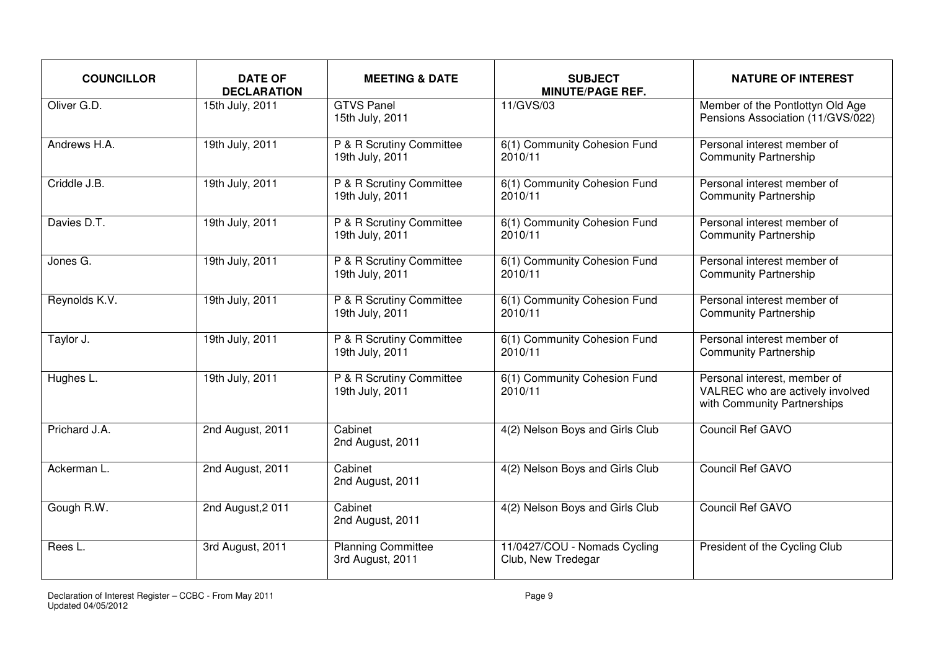| <b>COUNCILLOR</b> | <b>DATE OF</b><br><b>DECLARATION</b> | <b>MEETING &amp; DATE</b>                     | <b>SUBJECT</b><br><b>MINUTE/PAGE REF.</b>          | <b>NATURE OF INTEREST</b>                                                                       |
|-------------------|--------------------------------------|-----------------------------------------------|----------------------------------------------------|-------------------------------------------------------------------------------------------------|
| Oliver G.D.       | 15th July, 2011                      | <b>GTVS Panel</b><br>15th July, 2011          | 11/GVS/03                                          | Member of the Pontlottyn Old Age<br>Pensions Association (11/GVS/022)                           |
| Andrews H.A.      | 19th July, 2011                      | P & R Scrutiny Committee<br>19th July, 2011   | 6(1) Community Cohesion Fund<br>2010/11            | Personal interest member of<br><b>Community Partnership</b>                                     |
| Criddle J.B.      | 19th July, 2011                      | P & R Scrutiny Committee<br>19th July, 2011   | 6(1) Community Cohesion Fund<br>2010/11            | Personal interest member of<br><b>Community Partnership</b>                                     |
| Davies D.T.       | 19th July, 2011                      | P & R Scrutiny Committee<br>19th July, 2011   | 6(1) Community Cohesion Fund<br>2010/11            | Personal interest member of<br><b>Community Partnership</b>                                     |
| Jones G.          | 19th July, 2011                      | P & R Scrutiny Committee<br>19th July, 2011   | 6(1) Community Cohesion Fund<br>2010/11            | Personal interest member of<br><b>Community Partnership</b>                                     |
| Reynolds K.V.     | 19th July, 2011                      | P & R Scrutiny Committee<br>19th July, 2011   | 6(1) Community Cohesion Fund<br>2010/11            | Personal interest member of<br><b>Community Partnership</b>                                     |
| Taylor J.         | 19th July, 2011                      | P & R Scrutiny Committee<br>19th July, 2011   | 6(1) Community Cohesion Fund<br>2010/11            | Personal interest member of<br><b>Community Partnership</b>                                     |
| Hughes L.         | 19th July, 2011                      | P & R Scrutiny Committee<br>19th July, 2011   | 6(1) Community Cohesion Fund<br>2010/11            | Personal interest, member of<br>VALREC who are actively involved<br>with Community Partnerships |
| Prichard J.A.     | 2nd August, 2011                     | Cabinet<br>2nd August, 2011                   | 4(2) Nelson Boys and Girls Club                    | <b>Council Ref GAVO</b>                                                                         |
| Ackerman L.       | 2nd August, 2011                     | Cabinet<br>2nd August, 2011                   | 4(2) Nelson Boys and Girls Club                    | Council Ref GAVO                                                                                |
| Gough R.W.        | 2nd August, 2011                     | Cabinet<br>2nd August, 2011                   | 4(2) Nelson Boys and Girls Club                    | Council Ref GAVO                                                                                |
| Rees L.           | 3rd August, 2011                     | <b>Planning Committee</b><br>3rd August, 2011 | 11/0427/COU - Nomads Cycling<br>Club, New Tredegar | President of the Cycling Club                                                                   |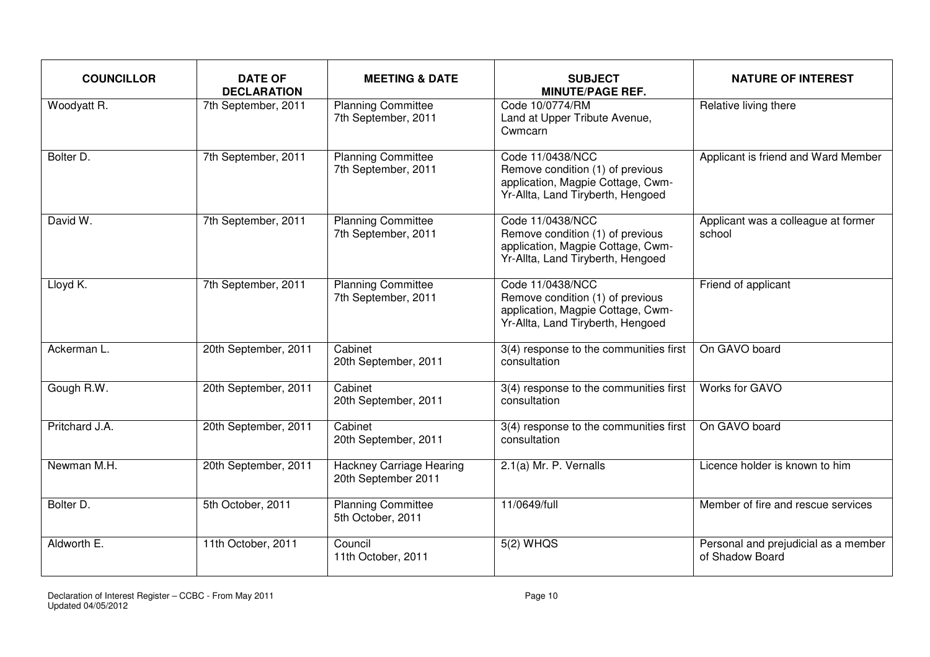| <b>COUNCILLOR</b> | <b>DATE OF</b><br><b>DECLARATION</b> | <b>MEETING &amp; DATE</b>                              | <b>SUBJECT</b><br><b>MINUTE/PAGE REF.</b>                                                                                      | <b>NATURE OF INTEREST</b>                               |
|-------------------|--------------------------------------|--------------------------------------------------------|--------------------------------------------------------------------------------------------------------------------------------|---------------------------------------------------------|
| Woodyatt R.       | 7th September, 2011                  | <b>Planning Committee</b><br>7th September, 2011       | Code 10/0774/RM<br>Land at Upper Tribute Avenue,<br>Cwmcarn                                                                    | Relative living there                                   |
| Bolter D.         | 7th September, 2011                  | <b>Planning Committee</b><br>7th September, 2011       | Code 11/0438/NCC<br>Remove condition (1) of previous<br>application, Magpie Cottage, Cwm-<br>Yr-Allta, Land Tiryberth, Hengoed | Applicant is friend and Ward Member                     |
| David W.          | 7th September, 2011                  | <b>Planning Committee</b><br>7th September, 2011       | Code 11/0438/NCC<br>Remove condition (1) of previous<br>application, Magpie Cottage, Cwm-<br>Yr-Allta, Land Tiryberth, Hengoed | Applicant was a colleague at former<br>school           |
| Lloyd K.          | 7th September, 2011                  | <b>Planning Committee</b><br>7th September, 2011       | Code 11/0438/NCC<br>Remove condition (1) of previous<br>application, Magpie Cottage, Cwm-<br>Yr-Allta, Land Tiryberth, Hengoed | Friend of applicant                                     |
| Ackerman L.       | 20th September, 2011                 | Cabinet<br>20th September, 2011                        | 3(4) response to the communities first<br>consultation                                                                         | On GAVO board                                           |
| Gough R.W.        | 20th September, 2011                 | Cabinet<br>20th September, 2011                        | 3(4) response to the communities first<br>consultation                                                                         | Works for GAVO                                          |
| Pritchard J.A.    | 20th September, 2011                 | Cabinet<br>20th September, 2011                        | 3(4) response to the communities first<br>consultation                                                                         | On GAVO board                                           |
| Newman M.H.       | 20th September, 2011                 | <b>Hackney Carriage Hearing</b><br>20th September 2011 | 2.1(a) Mr. P. Vernalls                                                                                                         | Licence holder is known to him                          |
| Bolter D.         | 5th October, 2011                    | <b>Planning Committee</b><br>5th October, 2011         | 11/0649/full                                                                                                                   | Member of fire and rescue services                      |
| Aldworth E.       | 11th October, 2011                   | Council<br>11th October, 2011                          | $5(2)$ WHQS                                                                                                                    | Personal and prejudicial as a member<br>of Shadow Board |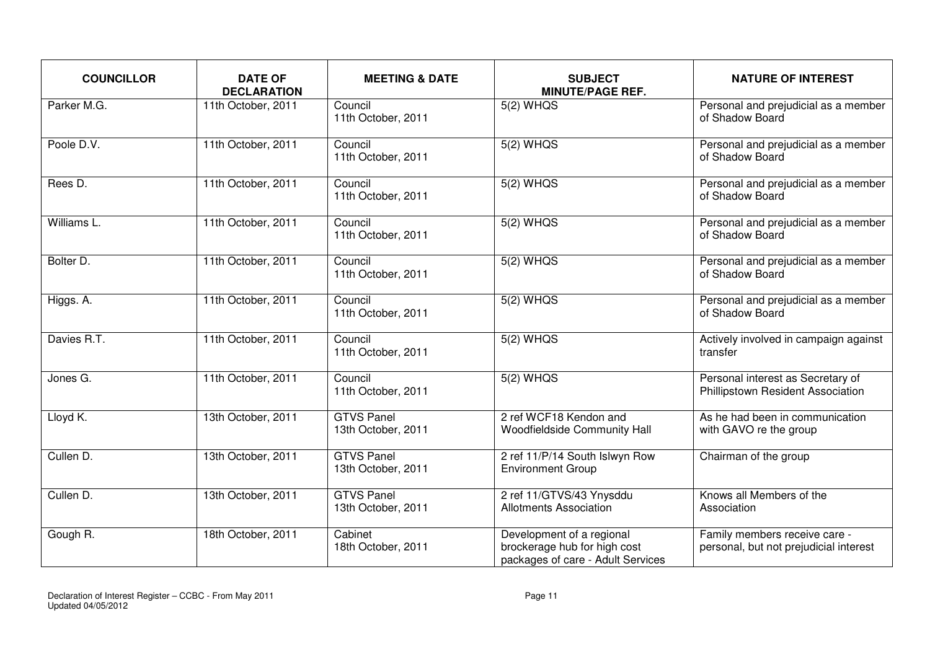| <b>COUNCILLOR</b> | <b>DATE OF</b><br><b>DECLARATION</b> | <b>MEETING &amp; DATE</b>               | <b>SUBJECT</b><br><b>MINUTE/PAGE REF.</b>                                                      | <b>NATURE OF INTEREST</b>                                               |
|-------------------|--------------------------------------|-----------------------------------------|------------------------------------------------------------------------------------------------|-------------------------------------------------------------------------|
| Parker M.G.       | 11th October, 2011                   | Council<br>11th October, 2011           | $5(2)$ WHQS                                                                                    | Personal and prejudicial as a member<br>of Shadow Board                 |
| Poole D.V.        | 11th October, 2011                   | Council<br>11th October, 2011           | $5(2)$ WHQS                                                                                    | Personal and prejudicial as a member<br>of Shadow Board                 |
| Rees D.           | 11th October, 2011                   | Council<br>11th October, 2011           | $5(2)$ WHQS                                                                                    | Personal and prejudicial as a member<br>of Shadow Board                 |
| Williams L.       | 11th October, 2011                   | Council<br>11th October, 2011           | $5(2)$ WHQS                                                                                    | Personal and prejudicial as a member<br>of Shadow Board                 |
| Bolter D.         | 11th October, 2011                   | Council<br>11th October, 2011           | $5(2)$ WHQS                                                                                    | Personal and prejudicial as a member<br>of Shadow Board                 |
| Higgs. A.         | 11th October, 2011                   | Council<br>11th October, 2011           | $5(2)$ WHQS                                                                                    | Personal and prejudicial as a member<br>of Shadow Board                 |
| Davies R.T.       | 11th October, 2011                   | Council<br>11th October, 2011           | $5(2)$ WHQS                                                                                    | Actively involved in campaign against<br>transfer                       |
| Jones G.          | 11th October, 2011                   | Council<br>11th October, 2011           | $5(2)$ WHQS                                                                                    | Personal interest as Secretary of<br>Phillipstown Resident Association  |
| Lloyd K.          | 13th October, 2011                   | <b>GTVS Panel</b><br>13th October, 2011 | 2 ref WCF18 Kendon and<br>Woodfieldside Community Hall                                         | As he had been in communication<br>with GAVO re the group               |
| Cullen D.         | 13th October, 2011                   | <b>GTVS Panel</b><br>13th October, 2011 | 2 ref 11/P/14 South Islwyn Row<br><b>Environment Group</b>                                     | Chairman of the group                                                   |
| Cullen D.         | 13th October, 2011                   | <b>GTVS Panel</b><br>13th October, 2011 | 2 ref 11/GTVS/43 Ynysddu<br><b>Allotments Association</b>                                      | Knows all Members of the<br>Association                                 |
| Gough R.          | 18th October, 2011                   | Cabinet<br>18th October, 2011           | Development of a regional<br>brockerage hub for high cost<br>packages of care - Adult Services | Family members receive care -<br>personal, but not prejudicial interest |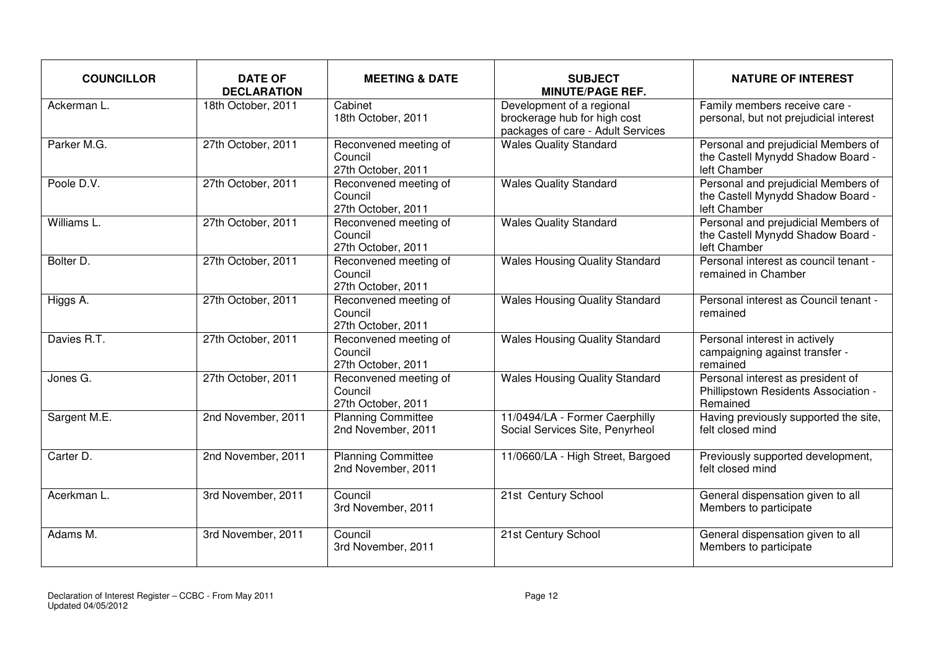| <b>COUNCILLOR</b> | <b>DATE OF</b><br><b>DECLARATION</b> | <b>MEETING &amp; DATE</b>                              | <b>SUBJECT</b><br><b>MINUTE/PAGE REF.</b>                                                      | <b>NATURE OF INTEREST</b>                                                                |
|-------------------|--------------------------------------|--------------------------------------------------------|------------------------------------------------------------------------------------------------|------------------------------------------------------------------------------------------|
| Ackerman L.       | 18th October, 2011                   | Cabinet<br>18th October, 2011                          | Development of a regional<br>brockerage hub for high cost<br>packages of care - Adult Services | Family members receive care -<br>personal, but not prejudicial interest                  |
| Parker M.G.       | 27th October, 2011                   | Reconvened meeting of<br>Council<br>27th October, 2011 | <b>Wales Quality Standard</b>                                                                  | Personal and prejudicial Members of<br>the Castell Mynydd Shadow Board -<br>left Chamber |
| Poole D.V.        | 27th October, 2011                   | Reconvened meeting of<br>Council<br>27th October, 2011 | <b>Wales Quality Standard</b>                                                                  | Personal and prejudicial Members of<br>the Castell Mynydd Shadow Board -<br>left Chamber |
| Williams L.       | 27th October, 2011                   | Reconvened meeting of<br>Council<br>27th October, 2011 | <b>Wales Quality Standard</b>                                                                  | Personal and prejudicial Members of<br>the Castell Mynydd Shadow Board -<br>left Chamber |
| Bolter D.         | 27th October, 2011                   | Reconvened meeting of<br>Council<br>27th October, 2011 | <b>Wales Housing Quality Standard</b>                                                          | Personal interest as council tenant -<br>remained in Chamber                             |
| Higgs A.          | 27th October, 2011                   | Reconvened meeting of<br>Council<br>27th October, 2011 | <b>Wales Housing Quality Standard</b>                                                          | Personal interest as Council tenant -<br>remained                                        |
| Davies R.T.       | 27th October, 2011                   | Reconvened meeting of<br>Council<br>27th October, 2011 | <b>Wales Housing Quality Standard</b>                                                          | Personal interest in actively<br>campaigning against transfer -<br>remained              |
| Jones G.          | 27th October, 2011                   | Reconvened meeting of<br>Council<br>27th October, 2011 | <b>Wales Housing Quality Standard</b>                                                          | Personal interest as president of<br>Phillipstown Residents Association -<br>Remained    |
| Sargent M.E.      | 2nd November, 2011                   | <b>Planning Committee</b><br>2nd November, 2011        | 11/0494/LA - Former Caerphilly<br>Social Services Site, Penyrheol                              | Having previously supported the site,<br>felt closed mind                                |
| Carter D.         | 2nd November, 2011                   | <b>Planning Committee</b><br>2nd November, 2011        | 11/0660/LA - High Street, Bargoed                                                              | Previously supported development,<br>felt closed mind                                    |
| Acerkman L.       | 3rd November, 2011                   | Council<br>3rd November, 2011                          | 21st Century School                                                                            | General dispensation given to all<br>Members to participate                              |
| Adams M.          | 3rd November, 2011                   | Council<br>3rd November, 2011                          | 21st Century School                                                                            | General dispensation given to all<br>Members to participate                              |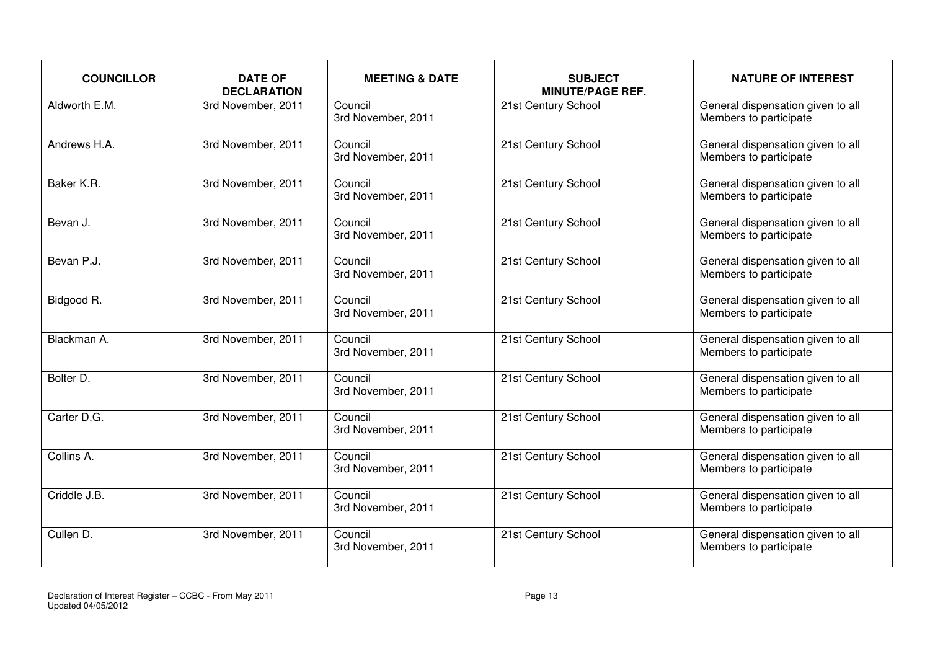| <b>COUNCILLOR</b> | <b>DATE OF</b><br><b>DECLARATION</b> | <b>MEETING &amp; DATE</b>     | <b>SUBJECT</b><br><b>MINUTE/PAGE REF.</b> | <b>NATURE OF INTEREST</b>                                   |
|-------------------|--------------------------------------|-------------------------------|-------------------------------------------|-------------------------------------------------------------|
| Aldworth E.M.     | 3rd November, 2011                   | Council<br>3rd November, 2011 | 21st Century School                       | General dispensation given to all<br>Members to participate |
| Andrews H.A.      | 3rd November, 2011                   | Council<br>3rd November, 2011 | 21st Century School                       | General dispensation given to all<br>Members to participate |
| Baker K.R.        | 3rd November, 2011                   | Council<br>3rd November, 2011 | 21st Century School                       | General dispensation given to all<br>Members to participate |
| Bevan J.          | 3rd November, 2011                   | Council<br>3rd November, 2011 | 21st Century School                       | General dispensation given to all<br>Members to participate |
| Bevan P.J.        | 3rd November, 2011                   | Council<br>3rd November, 2011 | 21st Century School                       | General dispensation given to all<br>Members to participate |
| Bidgood R.        | 3rd November, 2011                   | Council<br>3rd November, 2011 | 21st Century School                       | General dispensation given to all<br>Members to participate |
| Blackman A.       | 3rd November, 2011                   | Council<br>3rd November, 2011 | 21st Century School                       | General dispensation given to all<br>Members to participate |
| Bolter D.         | 3rd November, 2011                   | Council<br>3rd November, 2011 | 21st Century School                       | General dispensation given to all<br>Members to participate |
| Carter D.G.       | 3rd November, 2011                   | Council<br>3rd November, 2011 | 21st Century School                       | General dispensation given to all<br>Members to participate |
| Collins A.        | 3rd November, 2011                   | Council<br>3rd November, 2011 | 21st Century School                       | General dispensation given to all<br>Members to participate |
| Criddle J.B.      | 3rd November, 2011                   | Council<br>3rd November, 2011 | 21st Century School                       | General dispensation given to all<br>Members to participate |
| Cullen D.         | 3rd November, 2011                   | Council<br>3rd November, 2011 | 21st Century School                       | General dispensation given to all<br>Members to participate |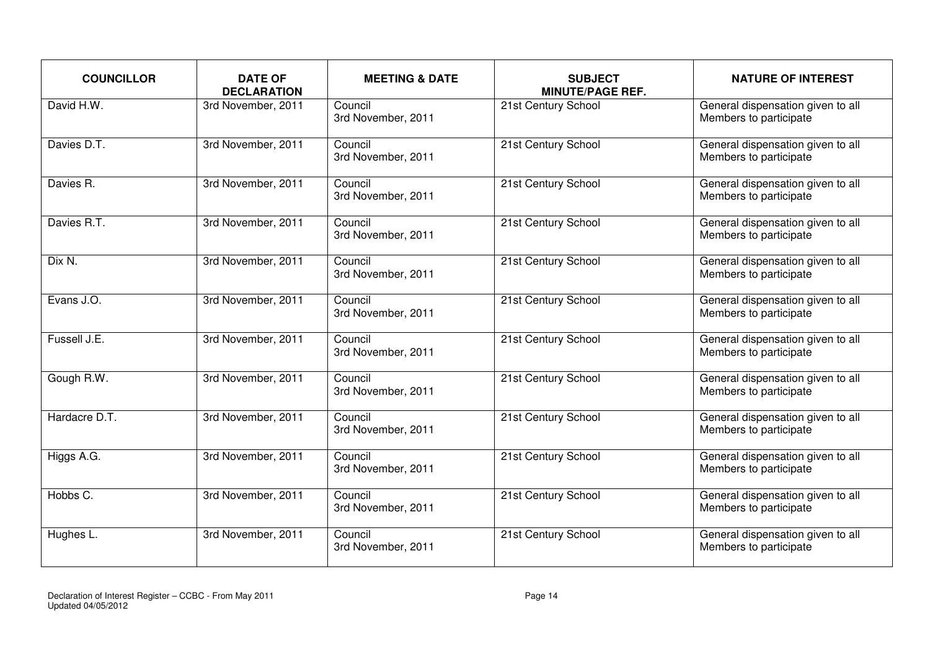| <b>COUNCILLOR</b> | <b>DATE OF</b><br><b>DECLARATION</b> | <b>MEETING &amp; DATE</b>     | <b>SUBJECT</b><br><b>MINUTE/PAGE REF.</b> | <b>NATURE OF INTEREST</b>                                   |
|-------------------|--------------------------------------|-------------------------------|-------------------------------------------|-------------------------------------------------------------|
| David H.W.        | 3rd November, 2011                   | Council<br>3rd November, 2011 | 21st Century School                       | General dispensation given to all<br>Members to participate |
| Davies D.T.       | 3rd November, 2011                   | Council<br>3rd November, 2011 | 21st Century School                       | General dispensation given to all<br>Members to participate |
| Davies R.         | 3rd November, 2011                   | Council<br>3rd November, 2011 | 21st Century School                       | General dispensation given to all<br>Members to participate |
| Davies R.T.       | 3rd November, 2011                   | Council<br>3rd November, 2011 | 21st Century School                       | General dispensation given to all<br>Members to participate |
| Dix N.            | 3rd November, 2011                   | Council<br>3rd November, 2011 | 21st Century School                       | General dispensation given to all<br>Members to participate |
| Evans J.O.        | 3rd November, 2011                   | Council<br>3rd November, 2011 | 21st Century School                       | General dispensation given to all<br>Members to participate |
| Fussell J.E.      | 3rd November, 2011                   | Council<br>3rd November, 2011 | 21st Century School                       | General dispensation given to all<br>Members to participate |
| Gough R.W.        | 3rd November, 2011                   | Council<br>3rd November, 2011 | 21st Century School                       | General dispensation given to all<br>Members to participate |
| Hardacre D.T.     | 3rd November, 2011                   | Council<br>3rd November, 2011 | 21st Century School                       | General dispensation given to all<br>Members to participate |
| Higgs A.G.        | 3rd November, 2011                   | Council<br>3rd November, 2011 | 21st Century School                       | General dispensation given to all<br>Members to participate |
| Hobbs C.          | 3rd November, 2011                   | Council<br>3rd November, 2011 | 21st Century School                       | General dispensation given to all<br>Members to participate |
| Hughes L.         | 3rd November, 2011                   | Council<br>3rd November, 2011 | 21st Century School                       | General dispensation given to all<br>Members to participate |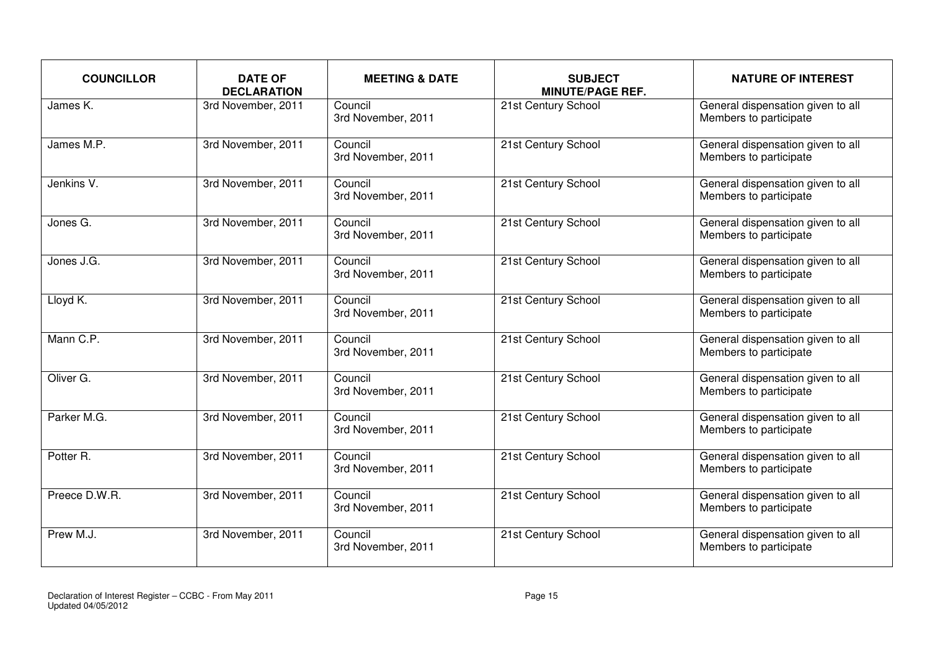| <b>COUNCILLOR</b>    | <b>DATE OF</b><br><b>DECLARATION</b> | <b>MEETING &amp; DATE</b>     | <b>SUBJECT</b><br><b>MINUTE/PAGE REF.</b> | <b>NATURE OF INTEREST</b>                                   |
|----------------------|--------------------------------------|-------------------------------|-------------------------------------------|-------------------------------------------------------------|
| James K.             | 3rd November, 2011                   | Council<br>3rd November, 2011 | 21st Century School                       | General dispensation given to all<br>Members to participate |
| James M.P.           | 3rd November, 2011                   | Council<br>3rd November, 2011 | 21st Century School                       | General dispensation given to all<br>Members to participate |
| Jenkins V.           | 3rd November, 2011                   | Council<br>3rd November, 2011 | 21st Century School                       | General dispensation given to all<br>Members to participate |
| Jones G.             | 3rd November, 2011                   | Council<br>3rd November, 2011 | 21st Century School                       | General dispensation given to all<br>Members to participate |
| Jones J.G.           | 3rd November, 2011                   | Council<br>3rd November, 2011 | 21st Century School                       | General dispensation given to all<br>Members to participate |
| Lloyd K.             | 3rd November, 2011                   | Council<br>3rd November, 2011 | 21st Century School                       | General dispensation given to all<br>Members to participate |
| Mann C.P.            | 3rd November, 2011                   | Council<br>3rd November, 2011 | 21st Century School                       | General dispensation given to all<br>Members to participate |
| Oliver G.            | 3rd November, 2011                   | Council<br>3rd November, 2011 | 21st Century School                       | General dispensation given to all<br>Members to participate |
| Parker M.G.          | 3rd November, 2011                   | Council<br>3rd November, 2011 | 21st Century School                       | General dispensation given to all<br>Members to participate |
| Potter <sub>R.</sub> | 3rd November, 2011                   | Council<br>3rd November, 2011 | 21st Century School                       | General dispensation given to all<br>Members to participate |
| Preece D.W.R.        | 3rd November, 2011                   | Council<br>3rd November, 2011 | 21st Century School                       | General dispensation given to all<br>Members to participate |
| Prew M.J.            | 3rd November, 2011                   | Council<br>3rd November, 2011 | 21st Century School                       | General dispensation given to all<br>Members to participate |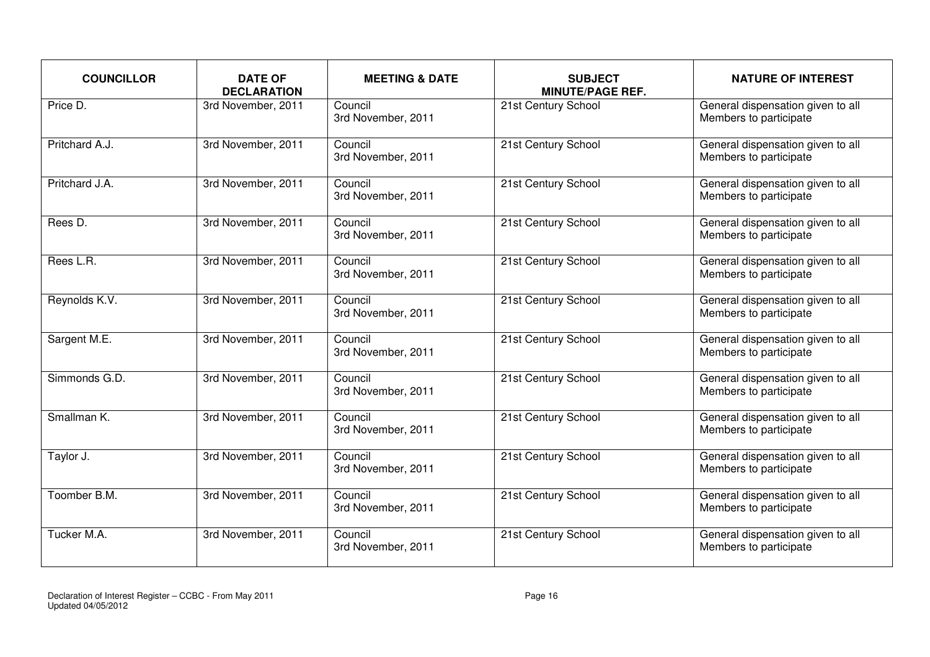| <b>COUNCILLOR</b> | <b>DATE OF</b><br><b>DECLARATION</b> | <b>MEETING &amp; DATE</b>     | <b>SUBJECT</b><br><b>MINUTE/PAGE REF.</b> | <b>NATURE OF INTEREST</b>                                   |
|-------------------|--------------------------------------|-------------------------------|-------------------------------------------|-------------------------------------------------------------|
| Price D.          | 3rd November, 2011                   | Council<br>3rd November, 2011 | 21st Century School                       | General dispensation given to all<br>Members to participate |
| Pritchard A.J.    | 3rd November, 2011                   | Council<br>3rd November, 2011 | 21st Century School                       | General dispensation given to all<br>Members to participate |
| Pritchard J.A.    | 3rd November, 2011                   | Council<br>3rd November, 2011 | 21st Century School                       | General dispensation given to all<br>Members to participate |
| Rees D.           | 3rd November, 2011                   | Council<br>3rd November, 2011 | 21st Century School                       | General dispensation given to all<br>Members to participate |
| Rees L.R.         | 3rd November, 2011                   | Council<br>3rd November, 2011 | 21st Century School                       | General dispensation given to all<br>Members to participate |
| Reynolds K.V.     | 3rd November, 2011                   | Council<br>3rd November, 2011 | 21st Century School                       | General dispensation given to all<br>Members to participate |
| Sargent M.E.      | 3rd November, 2011                   | Council<br>3rd November, 2011 | 21st Century School                       | General dispensation given to all<br>Members to participate |
| Simmonds G.D.     | 3rd November, 2011                   | Council<br>3rd November, 2011 | 21st Century School                       | General dispensation given to all<br>Members to participate |
| Smallman K.       | 3rd November, 2011                   | Council<br>3rd November, 2011 | 21st Century School                       | General dispensation given to all<br>Members to participate |
| Taylor J.         | 3rd November, 2011                   | Council<br>3rd November, 2011 | 21st Century School                       | General dispensation given to all<br>Members to participate |
| Toomber B.M.      | 3rd November, 2011                   | Council<br>3rd November, 2011 | 21st Century School                       | General dispensation given to all<br>Members to participate |
| Tucker M.A.       | 3rd November, 2011                   | Council<br>3rd November, 2011 | 21st Century School                       | General dispensation given to all<br>Members to participate |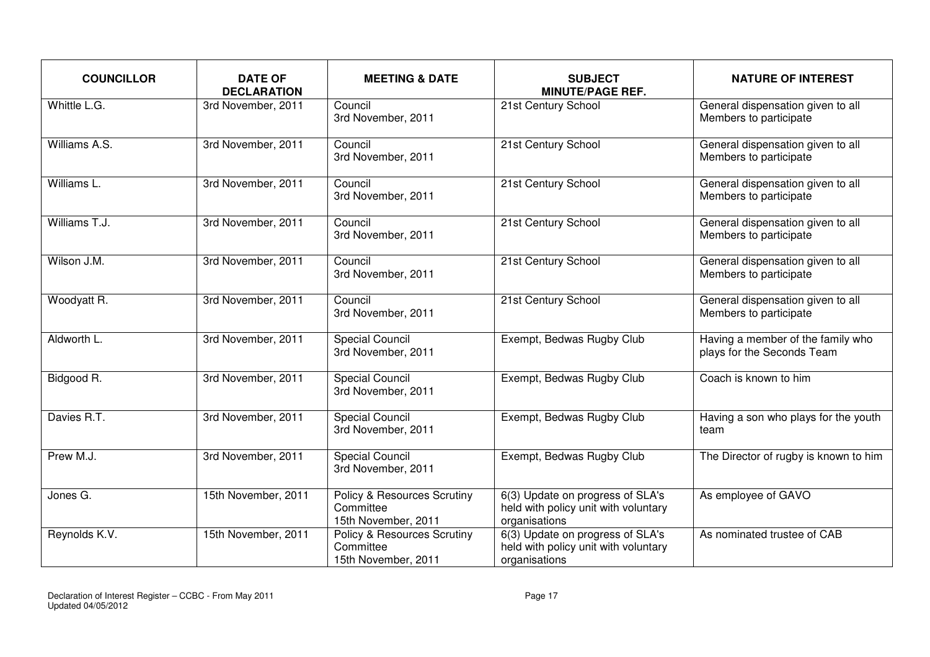| <b>COUNCILLOR</b> | <b>DATE OF</b><br><b>DECLARATION</b> | <b>MEETING &amp; DATE</b>                                                  | <b>SUBJECT</b><br><b>MINUTE/PAGE REF.</b>                                                 | <b>NATURE OF INTEREST</b>                                       |
|-------------------|--------------------------------------|----------------------------------------------------------------------------|-------------------------------------------------------------------------------------------|-----------------------------------------------------------------|
| Whittle L.G.      | 3rd November, 2011                   | Council<br>3rd November, 2011                                              | 21st Century School                                                                       | General dispensation given to all<br>Members to participate     |
| Williams A.S.     | 3rd November, 2011                   | Council<br>3rd November, 2011                                              | 21st Century School                                                                       | General dispensation given to all<br>Members to participate     |
| Williams L.       | 3rd November, 2011                   | Council<br>3rd November, 2011                                              | 21st Century School                                                                       | General dispensation given to all<br>Members to participate     |
| Williams T.J.     | 3rd November, 2011                   | Council<br>3rd November, 2011                                              | 21st Century School                                                                       | General dispensation given to all<br>Members to participate     |
| Wilson J.M.       | 3rd November, 2011                   | Council<br>3rd November, 2011                                              | 21st Century School                                                                       | General dispensation given to all<br>Members to participate     |
| Woodyatt R.       | 3rd November, 2011                   | Council<br>3rd November, 2011                                              | 21st Century School                                                                       | General dispensation given to all<br>Members to participate     |
| Aldworth L.       | 3rd November, 2011                   | <b>Special Council</b><br>3rd November, 2011                               | Exempt, Bedwas Rugby Club                                                                 | Having a member of the family who<br>plays for the Seconds Team |
| Bidgood R.        | 3rd November, 2011                   | <b>Special Council</b><br>3rd November, 2011                               | Exempt, Bedwas Rugby Club                                                                 | Coach is known to him                                           |
| Davies R.T.       | 3rd November, 2011                   | <b>Special Council</b><br>3rd November, 2011                               | Exempt, Bedwas Rugby Club                                                                 | Having a son who plays for the youth<br>team                    |
| Prew M.J.         | 3rd November, 2011                   | <b>Special Council</b><br>3rd November, 2011                               | Exempt, Bedwas Rugby Club                                                                 | The Director of rugby is known to him                           |
| Jones G.          | 15th November, 2011                  | Policy & Resources Scrutiny<br>Committee<br>15th November, 2011            | 6(3) Update on progress of SLA's<br>held with policy unit with voluntary<br>organisations | As employee of GAVO                                             |
| Reynolds K.V.     | 15th November, 2011                  | <b>Policy &amp; Resources Scrutiny</b><br>Committee<br>15th November, 2011 | 6(3) Update on progress of SLA's<br>held with policy unit with voluntary<br>organisations | As nominated trustee of CAB                                     |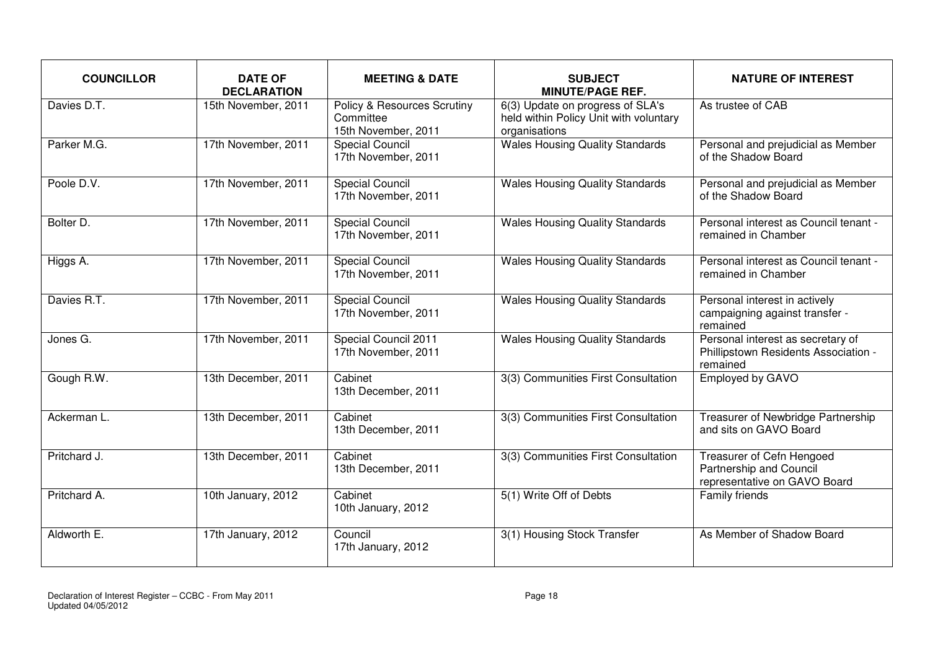| <b>COUNCILLOR</b>      | <b>DATE OF</b><br><b>DECLARATION</b> | <b>MEETING &amp; DATE</b>                                       | <b>SUBJECT</b><br><b>MINUTE/PAGE REF.</b>                                                   | <b>NATURE OF INTEREST</b>                                                             |
|------------------------|--------------------------------------|-----------------------------------------------------------------|---------------------------------------------------------------------------------------------|---------------------------------------------------------------------------------------|
| Davies D.T.            | 15th November, 2011                  | Policy & Resources Scrutiny<br>Committee<br>15th November, 2011 | 6(3) Update on progress of SLA's<br>held within Policy Unit with voluntary<br>organisations | As trustee of CAB                                                                     |
| Parker M.G.            | 17th November, 2011                  | <b>Special Council</b><br>17th November, 2011                   | <b>Wales Housing Quality Standards</b>                                                      | Personal and prejudicial as Member<br>of the Shadow Board                             |
| Poole D.V.             | 17th November, 2011                  | Special Council<br>17th November, 2011                          | <b>Wales Housing Quality Standards</b>                                                      | Personal and prejudicial as Member<br>of the Shadow Board                             |
| Bolter D.              | 17th November, 2011                  | <b>Special Council</b><br>17th November, 2011                   | <b>Wales Housing Quality Standards</b>                                                      | Personal interest as Council tenant -<br>remained in Chamber                          |
| Higgs A.               | 17th November, 2011                  | <b>Special Council</b><br>17th November, 2011                   | <b>Wales Housing Quality Standards</b>                                                      | Personal interest as Council tenant -<br>remained in Chamber                          |
| Davies R.T.            | 17th November, 2011                  | <b>Special Council</b><br>17th November, 2011                   | <b>Wales Housing Quality Standards</b>                                                      | Personal interest in actively<br>campaigning against transfer -<br>remained           |
| Jones $\overline{G}$ . | 17th November, 2011                  | Special Council 2011<br>17th November, 2011                     | <b>Wales Housing Quality Standards</b>                                                      | Personal interest as secretary of<br>Phillipstown Residents Association -<br>remained |
| Gough R.W.             | 13th December, 2011                  | Cabinet<br>13th December, 2011                                  | 3(3) Communities First Consultation                                                         | Employed by GAVO                                                                      |
| Ackerman L.            | 13th December, 2011                  | Cabinet<br>13th December, 2011                                  | 3(3) Communities First Consultation                                                         | Treasurer of Newbridge Partnership<br>and sits on GAVO Board                          |
| Pritchard J.           | 13th December, 2011                  | Cabinet<br>13th December, 2011                                  | 3(3) Communities First Consultation                                                         | Treasurer of Cefn Hengoed<br>Partnership and Council<br>representative on GAVO Board  |
| Pritchard A.           | 10th January, 2012                   | Cabinet<br>10th January, 2012                                   | 5(1) Write Off of Debts                                                                     | Family friends                                                                        |
| Aldworth E.            | 17th January, 2012                   | Council<br>17th January, 2012                                   | 3(1) Housing Stock Transfer                                                                 | As Member of Shadow Board                                                             |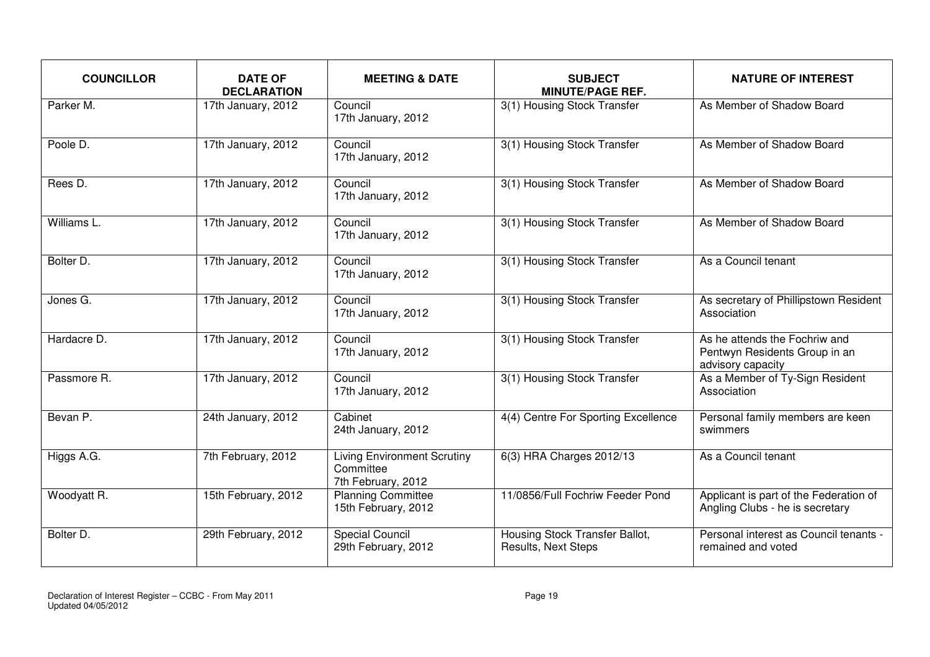| <b>COUNCILLOR</b> | <b>DATE OF</b><br><b>DECLARATION</b> | <b>MEETING &amp; DATE</b>                                             | <b>SUBJECT</b><br><b>MINUTE/PAGE REF.</b>             | <b>NATURE OF INTEREST</b>                                                           |
|-------------------|--------------------------------------|-----------------------------------------------------------------------|-------------------------------------------------------|-------------------------------------------------------------------------------------|
| Parker M.         | 17th January, 2012                   | Council<br>17th January, 2012                                         | 3(1) Housing Stock Transfer                           | As Member of Shadow Board                                                           |
| Poole D.          | 17th January, 2012                   | Council<br>17th January, 2012                                         | 3(1) Housing Stock Transfer                           | As Member of Shadow Board                                                           |
| Rees D.           | 17th January, 2012                   | Council<br>17th January, 2012                                         | 3(1) Housing Stock Transfer                           | As Member of Shadow Board                                                           |
| Williams L.       | 17th January, 2012                   | Council<br>17th January, 2012                                         | 3(1) Housing Stock Transfer                           | As Member of Shadow Board                                                           |
| Bolter D.         | 17th January, 2012                   | Council<br>17th January, 2012                                         | 3(1) Housing Stock Transfer                           | As a Council tenant                                                                 |
| Jones G.          | 17th January, 2012                   | Council<br>17th January, 2012                                         | 3(1) Housing Stock Transfer                           | As secretary of Phillipstown Resident<br>Association                                |
| Hardacre D.       | 17th January, 2012                   | Council<br>17th January, 2012                                         | 3(1) Housing Stock Transfer                           | As he attends the Fochriw and<br>Pentwyn Residents Group in an<br>advisory capacity |
| Passmore R.       | 17th January, 2012                   | Council<br>17th January, 2012                                         | 3(1) Housing Stock Transfer                           | As a Member of Ty-Sign Resident<br>Association                                      |
| Bevan P.          | 24th January, 2012                   | Cabinet<br>24th January, 2012                                         | 4(4) Centre For Sporting Excellence                   | Personal family members are keen<br>swimmers                                        |
| Higgs A.G.        | 7th February, 2012                   | <b>Living Environment Scrutiny</b><br>Committee<br>7th February, 2012 | 6(3) HRA Charges 2012/13                              | As a Council tenant                                                                 |
| Woodyatt R.       | 15th February, 2012                  | <b>Planning Committee</b><br>15th February, 2012                      | 11/0856/Full Fochriw Feeder Pond                      | Applicant is part of the Federation of<br>Angling Clubs - he is secretary           |
| Bolter D.         | 29th February, 2012                  | <b>Special Council</b><br>29th February, 2012                         | Housing Stock Transfer Ballot,<br>Results, Next Steps | Personal interest as Council tenants -<br>remained and voted                        |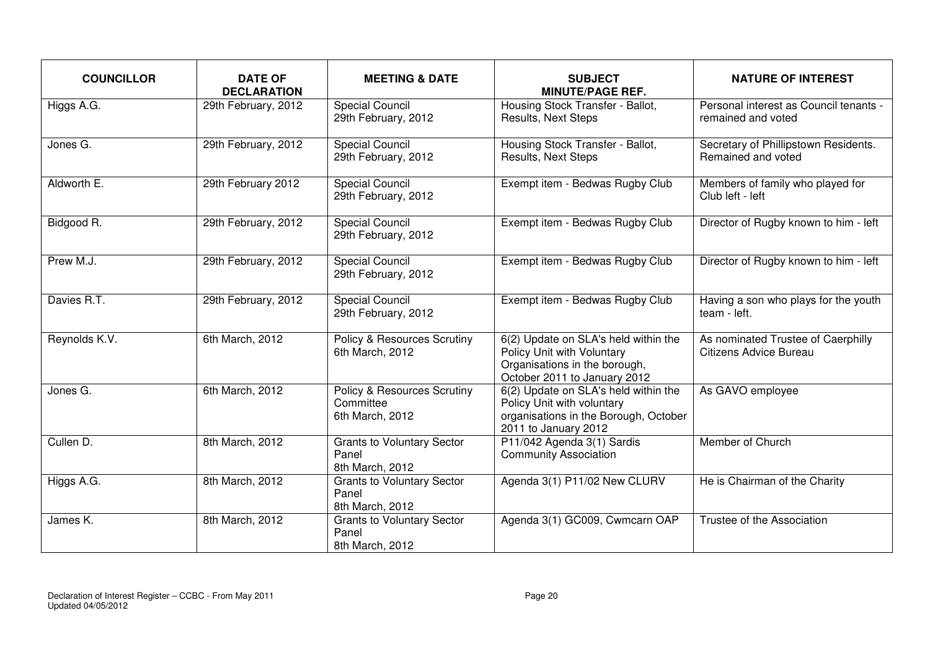| <b>COUNCILLOR</b>     | <b>DATE OF</b><br><b>DECLARATION</b> | <b>MEETING &amp; DATE</b>                                              | <b>SUBJECT</b><br><b>MINUTE/PAGE REF.</b>                                                                                           | <b>NATURE OF INTEREST</b>                                    |
|-----------------------|--------------------------------------|------------------------------------------------------------------------|-------------------------------------------------------------------------------------------------------------------------------------|--------------------------------------------------------------|
| Higgs A.G.            | 29th February, 2012                  | <b>Special Council</b><br>29th February, 2012                          | Housing Stock Transfer - Ballot,<br>Results, Next Steps                                                                             | Personal interest as Council tenants -<br>remained and voted |
| Jones G.              | 29th February, 2012                  | <b>Special Council</b><br>29th February, 2012                          | Housing Stock Transfer - Ballot,<br><b>Results, Next Steps</b>                                                                      | Secretary of Phillipstown Residents.<br>Remained and voted   |
| Aldworth E.           | 29th February 2012                   | <b>Special Council</b><br>29th February, 2012                          | Exempt item - Bedwas Rugby Club                                                                                                     | Members of family who played for<br>Club left - left         |
| Bidgood <sub>R.</sub> | 29th February, 2012                  | <b>Special Council</b><br>29th February, 2012                          | Exempt item - Bedwas Rugby Club                                                                                                     | Director of Rugby known to him - left                        |
| Prew M.J.             | 29th February, 2012                  | <b>Special Council</b><br>29th February, 2012                          | Exempt item - Bedwas Rugby Club                                                                                                     | Director of Rugby known to him - left                        |
| Davies R.T.           | 29th February, 2012                  | <b>Special Council</b><br>29th February, 2012                          | Exempt item - Bedwas Rugby Club                                                                                                     | Having a son who plays for the youth<br>team - left.         |
| Reynolds K.V.         | 6th March, 2012                      | <b>Policy &amp; Resources Scrutiny</b><br>6th March, 2012              | 6(2) Update on SLA's held within the<br>Policy Unit with Voluntary<br>Organisations in the borough,<br>October 2011 to January 2012 | As nominated Trustee of Caerphilly<br>Citizens Advice Bureau |
| Jones G.              | 6th March, 2012                      | <b>Policy &amp; Resources Scrutiny</b><br>Committee<br>6th March, 2012 | 6(2) Update on SLA's held within the<br>Policy Unit with voluntary<br>organisations in the Borough, October<br>2011 to January 2012 | As GAVO employee                                             |
| Cullen D.             | 8th March, 2012                      | <b>Grants to Voluntary Sector</b><br>Panel<br>8th March, 2012          | P11/042 Agenda 3(1) Sardis<br><b>Community Association</b>                                                                          | Member of Church                                             |
| Higgs A.G.            | 8th March, 2012                      | <b>Grants to Voluntary Sector</b><br>Panel<br>8th March, 2012          | Agenda 3(1) P11/02 New CLURV                                                                                                        | He is Chairman of the Charity                                |
| James K.              | 8th March, 2012                      | <b>Grants to Voluntary Sector</b><br>Panel<br>8th March, 2012          | Agenda 3(1) GC009, Cwmcarn OAP                                                                                                      | Trustee of the Association                                   |